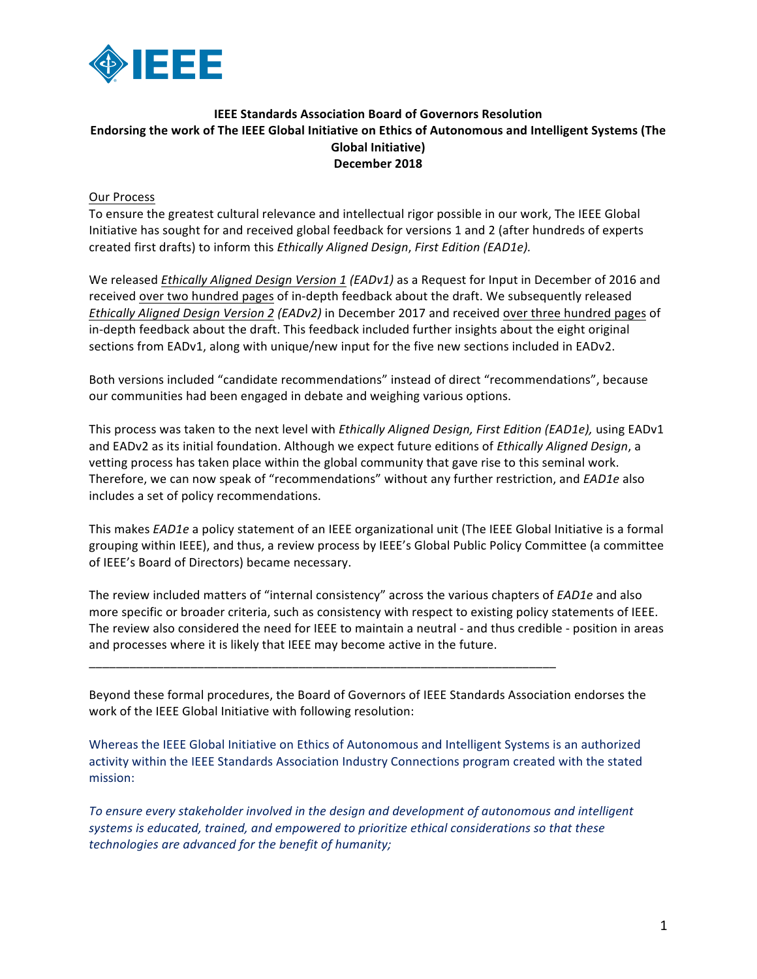

## **IEEE Standards Association Board of Governors Resolution Endorsing the work of The IEEE Global Initiative on Ethics of Autonomous and Intelligent Systems (The Global Initiative) December 2018**

**Our Process** 

To ensure the greatest cultural relevance and intellectual rigor possible in our work, The IEEE Global Initiative has sought for and received global feedback for versions 1 and 2 (after hundreds of experts created first drafts) to inform this *Ethically Aligned Design*, *First Edition (EAD1e).*

We released *Ethically Aligned Design Version 1 (EADv1)* as a Request for Input in December of 2016 and received over two hundred pages of in-depth feedback about the draft. We subsequently released **Ethically Aligned Design Version 2 (EADv2)** in December 2017 and received over three hundred pages of in-depth feedback about the draft. This feedback included further insights about the eight original sections from EADv1, along with unique/new input for the five new sections included in EADv2.

Both versions included "candidate recommendations" instead of direct "recommendations", because our communities had been engaged in debate and weighing various options.

This process was taken to the next level with *Ethically Aligned Design, First Edition (EAD1e)*, using EADv1 and EADv2 as its initial foundation. Although we expect future editions of *Ethically Aligned Design*, a vetting process has taken place within the global community that gave rise to this seminal work. Therefore, we can now speak of "recommendations" without any further restriction, and *EAD1e* also includes a set of policy recommendations.

This makes *EAD1e* a policy statement of an IEEE organizational unit (The IEEE Global Initiative is a formal grouping within IEEE), and thus, a review process by IEEE's Global Public Policy Committee (a committee of IEEE's Board of Directors) became necessary.

The review included matters of "internal consistency" across the various chapters of *EAD1e* and also more specific or broader criteria, such as consistency with respect to existing policy statements of IEEE. The review also considered the need for IEEE to maintain a neutral - and thus credible - position in areas and processes where it is likely that IEEE may become active in the future.

Beyond these formal procedures, the Board of Governors of IEEE Standards Association endorses the work of the IEEE Global Initiative with following resolution:

\_\_\_\_\_\_\_\_\_\_\_\_\_\_\_\_\_\_\_\_\_\_\_\_\_\_\_\_\_\_\_\_\_\_\_\_\_\_\_\_\_\_\_\_\_\_\_\_\_\_\_\_\_\_\_\_\_\_\_\_\_\_\_\_\_\_\_\_\_

Whereas the IEEE Global Initiative on Ethics of Autonomous and Intelligent Systems is an authorized activity within the IEEE Standards Association Industry Connections program created with the stated mission:

To ensure every stakeholder involved in the design and development of autonomous and intelligent systems is educated, trained, and empowered to prioritize ethical considerations so that these *technologies* are advanced for the benefit of humanity;